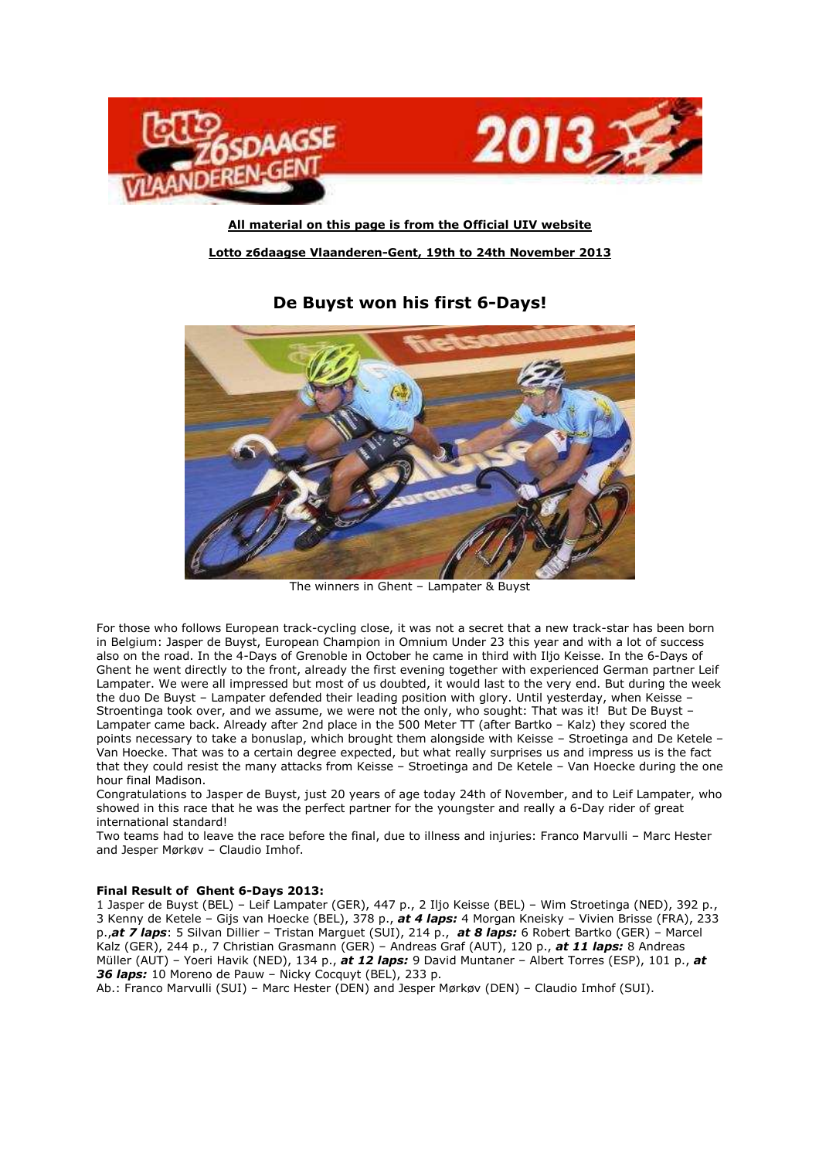

**All material on this page is from the Official UIV website Lotto z6daagse Vlaanderen-Gent, 19th to 24th November 2013**

The winners in Ghent – Lampater & Buyst

For those who follows European track-cycling close, it was not a secret that a new track-star has been born in Belgium: Jasper de Buyst, European Champion in Omnium Under 23 this year and with a lot of success also on the road. In the 4-Days of Grenoble in October he came in third with Iljo Keisse. In the 6-Days of Ghent he went directly to the front, already the first evening together with experienced German partner Leif Lampater. We were all impressed but most of us doubted, it would last to the very end. But during the week the duo De Buyst – Lampater defended their leading position with glory. Until yesterday, when Keisse – Stroentinga took over, and we assume, we were not the only, who sought: That was it! But De Buyst -Lampater came back. Already after 2nd place in the 500 Meter TT (after Bartko – Kalz) they scored the points necessary to take a bonuslap, which brought them alongside with Keisse - Stroetinga and De Ketele -Van Hoecke. That was to a certain degree expected, but what really surprises us and impress us is the fact that they could resist the many attacks from Keisse – Stroetinga and De Ketele – Van Hoecke during the one hour final Madison.

Congratulations to Jasper de Buyst, just 20 years of age today 24th of November, and to Leif Lampater, who showed in this race that he was the perfect partner for the youngster and really a 6-Day rider of great international standard!

Two teams had to leave the race before the final, due to illness and injuries: Franco Marvulli – Marc Hester and Jesper Mørkøv – Claudio Imhof.

#### **Final Result of Ghent 6-Days 2013:**

1 Jasper de Buyst (BEL) – Leif Lampater (GER), 447 p., 2 Iljo Keisse (BEL) – Wim Stroetinga (NED), 392 p., 3 Kenny de Ketele – Gijs van Hoecke (BEL), 378 p., *at 4 laps:* 4 Morgan Kneisky – Vivien Brisse (FRA), 233 p.,*at 7 laps*: 5 Silvan Dillier – Tristan Marguet (SUI), 214 p., *at 8 laps:* 6 Robert Bartko (GER) – Marcel Kalz (GER), 244 p., 7 Christian Grasmann (GER) – Andreas Graf (AUT), 120 p., *at 11 laps:* 8 Andreas Müller (AUT) – Yoeri Havik (NED), 134 p., *at 12 laps:* 9 David Muntaner – Albert Torres (ESP), 101 p., *at 36 laps:* 10 Moreno de Pauw – Nicky Cocquyt (BEL), 233 p.

Ab.: Franco Marvulli (SUI) – Marc Hester (DEN) and Jesper Mørkøv (DEN) – Claudio Imhof (SUI).

## **De Buyst won his first 6-Days!**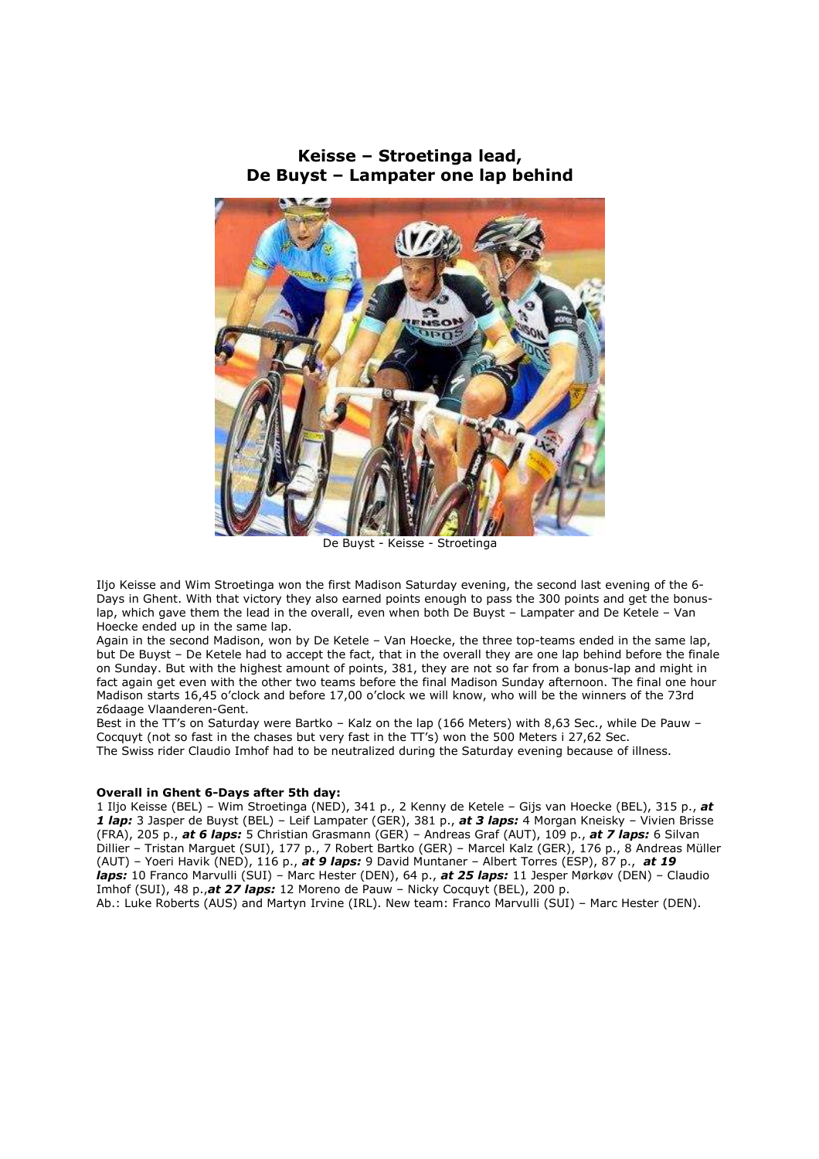

**Keisse – Stroetinga lead, De Buyst – Lampater one lap behind** 

De Buyst - Keisse - Stroetinga

Iljo Keisse and Wim Stroetinga won the first Madison Saturday evening, the second last evening of the 6- Days in Ghent. With that victory they also earned points enough to pass the 300 points and get the bonuslap, which gave them the lead in the overall, even when both De Buyst – Lampater and De Ketele – Van Hoecke ended up in the same lap.

Again in the second Madison, won by De Ketele – Van Hoecke, the three top-teams ended in the same lap, but De Buyst – De Ketele had to accept the fact, that in the overall they are one lap behind before the finale on Sunday. But with the highest amount of points, 381, they are not so far from a bonus-lap and might in fact again get even with the other two teams before the final Madison Sunday afternoon. The final one hour Madison starts 16,45 o'clock and before 17,00 o'clock we will know, who will be the winners of the 73rd z6daage Vlaanderen-Gent.

Best in the TT's on Saturday were Bartko – Kalz on the lap (166 Meters) with 8,63 Sec., while De Pauw – Cocquyt (not so fast in the chases but very fast in the TT's) won the 500 Meters i 27,62 Sec. The Swiss rider Claudio Imhof had to be neutralized during the Saturday evening because of illness.

#### **Overall in Ghent 6-Days after 5th day:**

1 Iljo Keisse (BEL) – Wim Stroetinga (NED), 341 p., 2 Kenny de Ketele – Gijs van Hoecke (BEL), 315 p., *at 1 lap:* 3 Jasper de Buyst (BEL) – Leif Lampater (GER), 381 p., *at 3 laps:* 4 Morgan Kneisky – Vivien Brisse (FRA), 205 p., *at 6 laps:* 5 Christian Grasmann (GER) – Andreas Graf (AUT), 109 p., *at 7 laps:* 6 Silvan Dillier – Tristan Marguet (SUI), 177 p., 7 Robert Bartko (GER) – Marcel Kalz (GER), 176 p., 8 Andreas Müller (AUT) – Yoeri Havik (NED), 116 p., *at 9 laps:* 9 David Muntaner – Albert Torres (ESP), 87 p., *at 19 laps:* 10 Franco Marvulli (SUI) – Marc Hester (DEN), 64 p., *at 25 laps:* 11 Jesper Mørkøv (DEN) – Claudio Imhof (SUI), 48 p.,*at 27 laps:* 12 Moreno de Pauw – Nicky Cocquyt (BEL), 200 p. Ab.: Luke Roberts (AUS) and Martyn Irvine (IRL). New team: Franco Marvulli (SUI) – Marc Hester (DEN).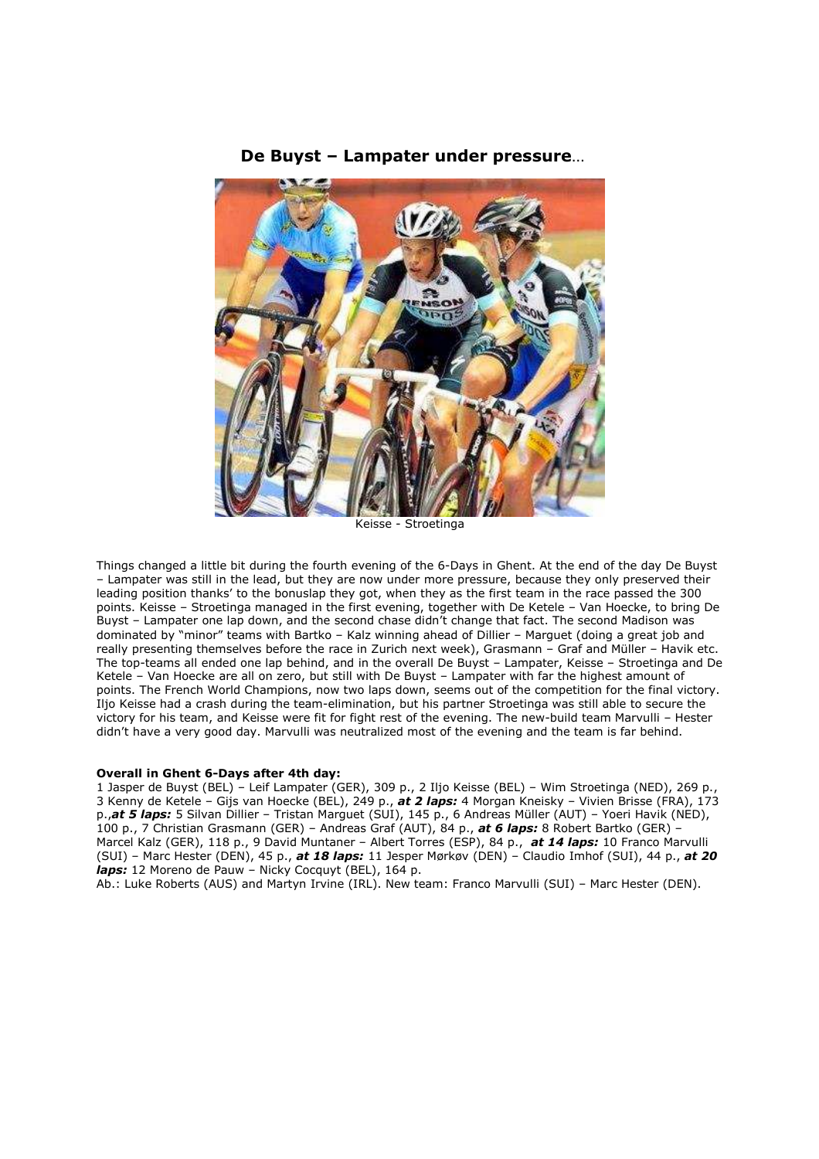

 **De Buyst – Lampater under pressure**…

Keisse - Stroetinga

Things changed a little bit during the fourth evening of the 6-Days in Ghent. At the end of the day De Buyst – Lampater was still in the lead, but they are now under more pressure, because they only preserved their leading position thanks' to the bonuslap they got, when they as the first team in the race passed the 300 points. Keisse – Stroetinga managed in the first evening, together with De Ketele – Van Hoecke, to bring De Buyst – Lampater one lap down, and the second chase didn't change that fact. The second Madison was dominated by "minor" teams with Bartko – Kalz winning ahead of Dillier – Marguet (doing a great job and really presenting themselves before the race in Zurich next week), Grasmann – Graf and Müller – Havik etc. The top-teams all ended one lap behind, and in the overall De Buyst – Lampater, Keisse – Stroetinga and De Ketele – Van Hoecke are all on zero, but still with De Buyst – Lampater with far the highest amount of points. The French World Champions, now two laps down, seems out of the competition for the final victory. Iljo Keisse had a crash during the team-elimination, but his partner Stroetinga was still able to secure the victory for his team, and Keisse were fit for fight rest of the evening. The new-build team Marvulli – Hester didn't have a very good day. Marvulli was neutralized most of the evening and the team is far behind.

#### **Overall in Ghent 6-Days after 4th day:**

1 Jasper de Buyst (BEL) – Leif Lampater (GER), 309 p., 2 Iljo Keisse (BEL) – Wim Stroetinga (NED), 269 p., 3 Kenny de Ketele – Gijs van Hoecke (BEL), 249 p., *at 2 laps:* 4 Morgan Kneisky – Vivien Brisse (FRA), 173 p.,*at 5 laps:* 5 Silvan Dillier – Tristan Marguet (SUI), 145 p., 6 Andreas Müller (AUT) – Yoeri Havik (NED), 100 p., 7 Christian Grasmann (GER) – Andreas Graf (AUT), 84 p., *at 6 laps:* 8 Robert Bartko (GER) – Marcel Kalz (GER), 118 p., 9 David Muntaner – Albert Torres (ESP), 84 p., *at 14 laps:* 10 Franco Marvulli (SUI) – Marc Hester (DEN), 45 p., *at 18 laps:* 11 Jesper Mørkøv (DEN) – Claudio Imhof (SUI), 44 p., *at 20 laps:* 12 Moreno de Pauw – Nicky Cocquyt (BEL), 164 p.

Ab.: Luke Roberts (AUS) and Martyn Irvine (IRL). New team: Franco Marvulli (SUI) – Marc Hester (DEN).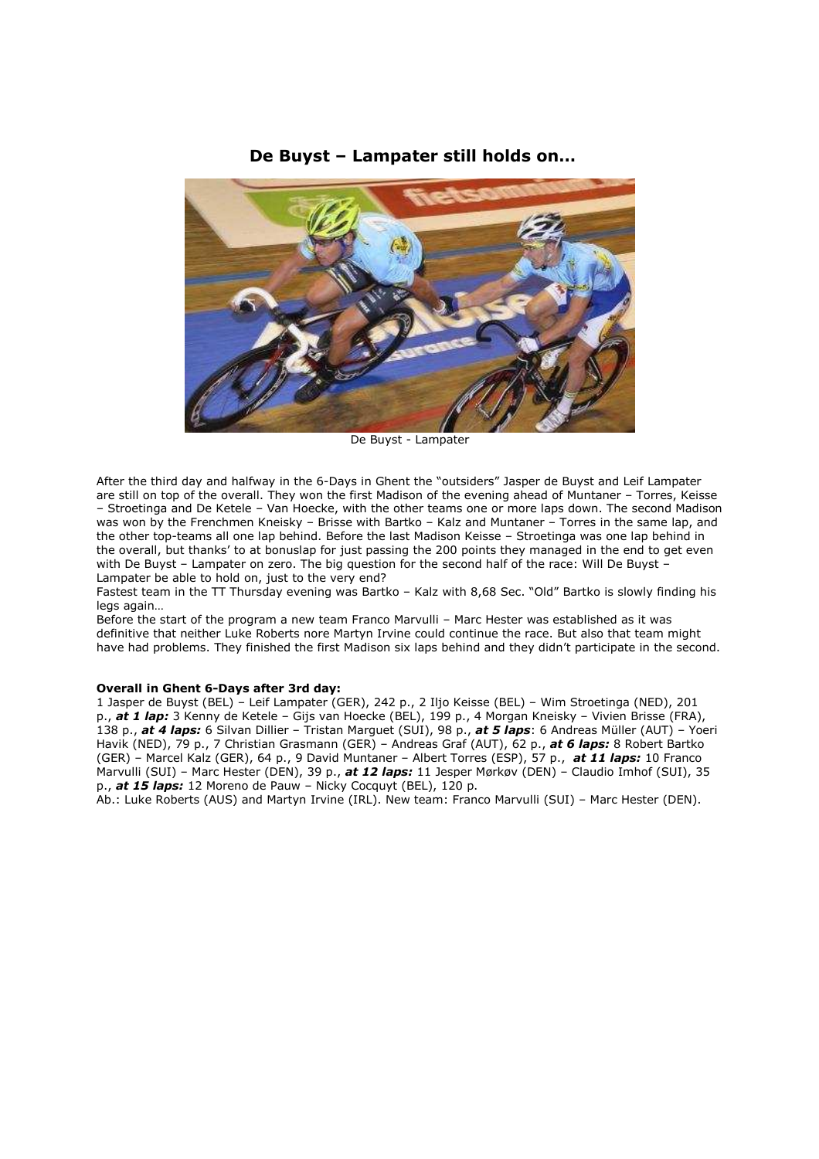

## **De Buyst – Lampater still holds on…**

De Buyst - Lampater

After the third day and halfway in the 6-Days in Ghent the "outsiders" Jasper de Buyst and Leif Lampater are still on top of the overall. They won the first Madison of the evening ahead of Muntaner – Torres, Keisse – Stroetinga and De Ketele – Van Hoecke, with the other teams one or more laps down. The second Madison was won by the Frenchmen Kneisky – Brisse with Bartko – Kalz and Muntaner – Torres in the same lap, and the other top-teams all one lap behind. Before the last Madison Keisse – Stroetinga was one lap behind in the overall, but thanks' to at bonuslap for just passing the 200 points they managed in the end to get even with De Buyst - Lampater on zero. The big question for the second half of the race: Will De Buyst -Lampater be able to hold on, just to the very end?

Fastest team in the TT Thursday evening was Bartko – Kalz with 8,68 Sec. "Old" Bartko is slowly finding his legs again…

Before the start of the program a new team Franco Marvulli – Marc Hester was established as it was definitive that neither Luke Roberts nore Martyn Irvine could continue the race. But also that team might have had problems. They finished the first Madison six laps behind and they didn't participate in the second.

#### **Overall in Ghent 6-Days after 3rd day:**

1 Jasper de Buyst (BEL) – Leif Lampater (GER), 242 p., 2 Iljo Keisse (BEL) – Wim Stroetinga (NED), 201 p., *at 1 lap:* 3 Kenny de Ketele – Gijs van Hoecke (BEL), 199 p., 4 Morgan Kneisky – Vivien Brisse (FRA), 138 p., *at 4 laps:* 6 Silvan Dillier – Tristan Marguet (SUI), 98 p., *at 5 laps*: 6 Andreas Müller (AUT) – Yoeri Havik (NED), 79 p., 7 Christian Grasmann (GER) – Andreas Graf (AUT), 62 p., *at 6 laps:* 8 Robert Bartko (GER) – Marcel Kalz (GER), 64 p., 9 David Muntaner – Albert Torres (ESP), 57 p., *at 11 laps:* 10 Franco Marvulli (SUI) – Marc Hester (DEN), 39 p., *at 12 laps:* 11 Jesper Mørkøv (DEN) – Claudio Imhof (SUI), 35 p., *at 15 laps:* 12 Moreno de Pauw – Nicky Cocquyt (BEL), 120 p.

Ab.: Luke Roberts (AUS) and Martyn Irvine (IRL). New team: Franco Marvulli (SUI) – Marc Hester (DEN).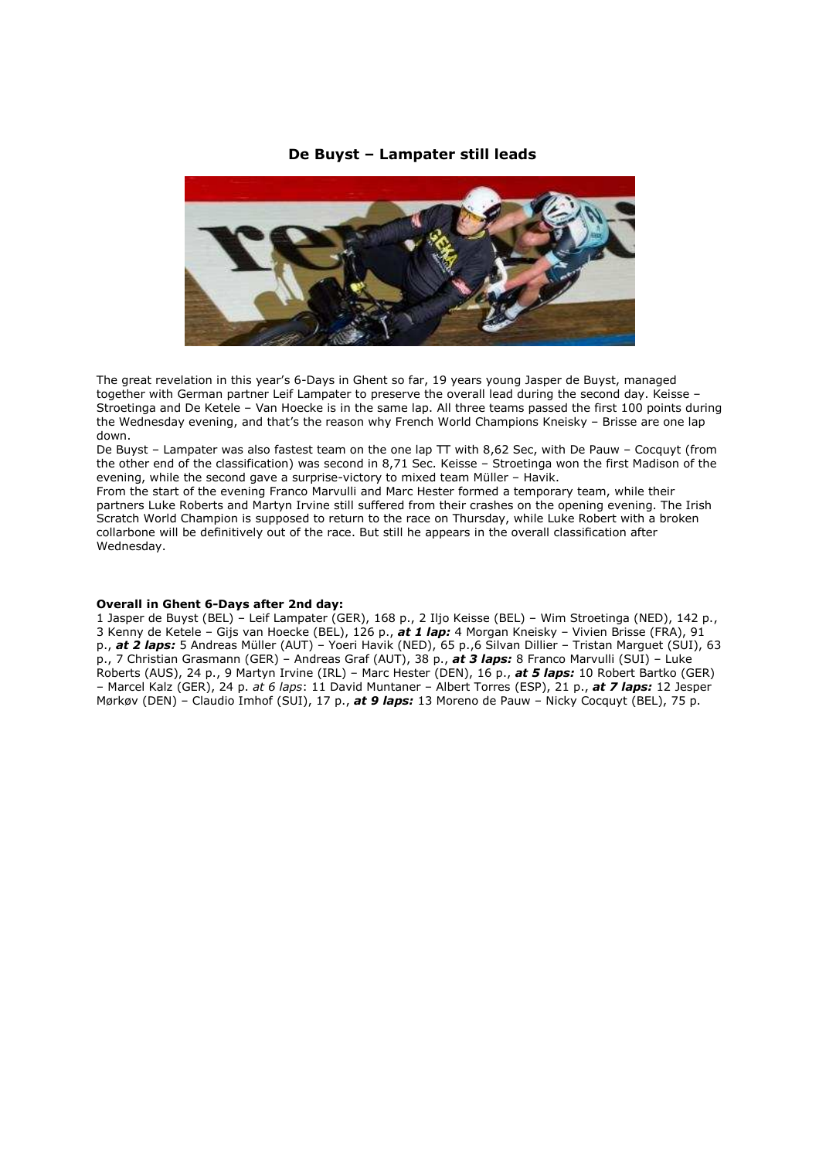### **De Buyst – Lampater still leads**



The great revelation in this year's 6-Days in Ghent so far, 19 years young Jasper de Buyst, managed together with German partner Leif Lampater to preserve the overall lead during the second day. Keisse – Stroetinga and De Ketele – Van Hoecke is in the same lap. All three teams passed the first 100 points during the Wednesday evening, and that's the reason why French World Champions Kneisky – Brisse are one lap down.

De Buyst – Lampater was also fastest team on the one lap TT with 8,62 Sec, with De Pauw – Cocquyt (from the other end of the classification) was second in 8,71 Sec. Keisse – Stroetinga won the first Madison of the evening, while the second gave a surprise-victory to mixed team Müller - Havik.

From the start of the evening Franco Marvulli and Marc Hester formed a temporary team, while their partners Luke Roberts and Martyn Irvine still suffered from their crashes on the opening evening. The Irish Scratch World Champion is supposed to return to the race on Thursday, while Luke Robert with a broken collarbone will be definitively out of the race. But still he appears in the overall classification after Wednesday.

#### **Overall in Ghent 6-Days after 2nd day:**

1 Jasper de Buyst (BEL) – Leif Lampater (GER), 168 p., 2 Iljo Keisse (BEL) – Wim Stroetinga (NED), 142 p., 3 Kenny de Ketele – Gijs van Hoecke (BEL), 126 p., *at 1 lap:* 4 Morgan Kneisky – Vivien Brisse (FRA), 91 p., **at 2 laps:** 5 Andreas Müller (AUT) – Yoeri Havik (NED), 65 p.,6 Silvan Dillier – Tristan Marguet (SUI), 63 p., 7 Christian Grasmann (GER) – Andreas Graf (AUT), 38 p., *at 3 laps:* 8 Franco Marvulli (SUI) – Luke Roberts (AUS), 24 p., 9 Martyn Irvine (IRL) – Marc Hester (DEN), 16 p., *at 5 laps:* 10 Robert Bartko (GER) – Marcel Kalz (GER), 24 p. *at 6 laps*: 11 David Muntaner – Albert Torres (ESP), 21 p., *at 7 laps:* 12 Jesper Mørkøv (DEN) – Claudio Imhof (SUI), 17 p., *at 9 laps:* 13 Moreno de Pauw – Nicky Cocquyt (BEL), 75 p.